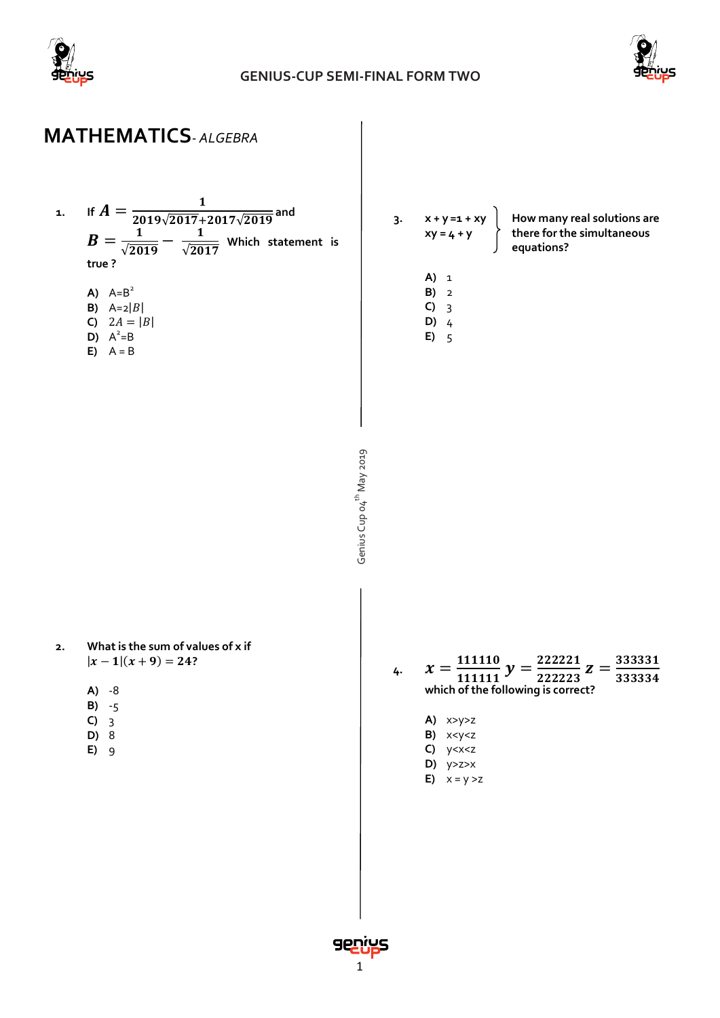



# **MATHEMATICS***- ALGEBRA*



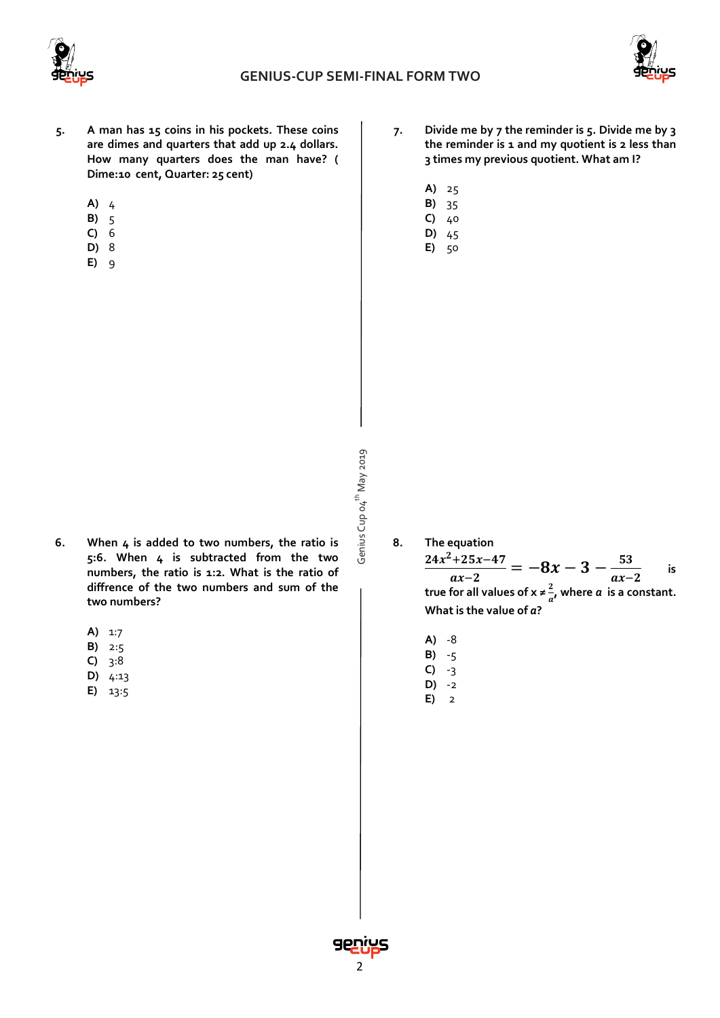



- **5. A man has 15 coins in his pockets. These coins are dimes and quarters that add up 2.4 dollars. How many quarters does the man have? ( Dime:10 cent, Quarter: 25 cent)**
	- **A)** 4
	- **B)** 5
	- **C)** 6
	- **D)** 8
	- **E)** 9
- **7. Divide me by 7 the reminder is 5. Divide me by 3 the reminder is 1 and my quotient is 2 less than 3 times my previous quotient. What am I?**
	- **A)** 25
	- **B)** 35 **C)** 40
	- **D)** 45
	- **E)** 50

- Genius Cup o4<sup>th</sup> May 2019 Genius Cup 04<sup>th</sup> May 2019
- **8. The equation**  $\frac{24x^2+25x-47}{ax-2} = -8x - 3 - \frac{53}{ax-2}$ **is true for all values of x**  $\neq \frac{2}{3}$  $\frac{2}{a}$ , where *a* is a constant.
	- **What is the value of** *a***?**
	- **A)** -8
	- **B)** -5
	- **C)** -3 **D)** -2
	- **E)** 2
- **6. When 4 is added to two numbers, the ratio is 5:6. When 4 is subtracted from the two numbers, the ratio is 1:2. What is the ratio of diffrence of the two numbers and sum of the two numbers?**
	- **A)** 1:7
	- **B)** 2:5
	- **C)** 3:8
	- **D)** 4:13
	- **E)** 13:5

2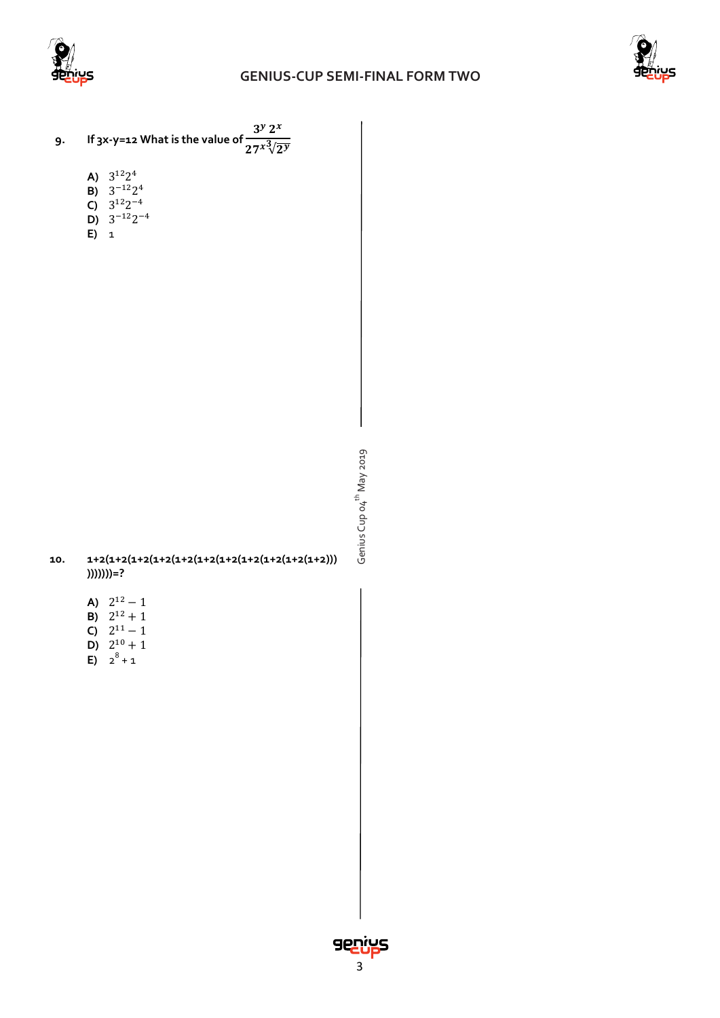





- A)  $3^{12}2^4$
- **B)** 3−122<sup>4</sup>
- **C)** 3<sup>12</sup>2−4
- **D)**  $3^{-12}2^{-4}$  $\overrightarrow{E}$  1
- 

Genius Cup o4<sup>th</sup> May 2019 Genius Cup 04<sup>th</sup> May 2019

#### **10. 1+2(1+2(1+2(1+2(1+2(1+2(1+2(1+2(1+2(1+2(1+2))) )))))))=?**

- **A)**  $2^{12} 1$
- **B)**  $2^{12} + 1$
- **C)**  $2^{11} 1$
- **D)**  $2^{10} + 1$
- **E)**  $2^8 + 1$

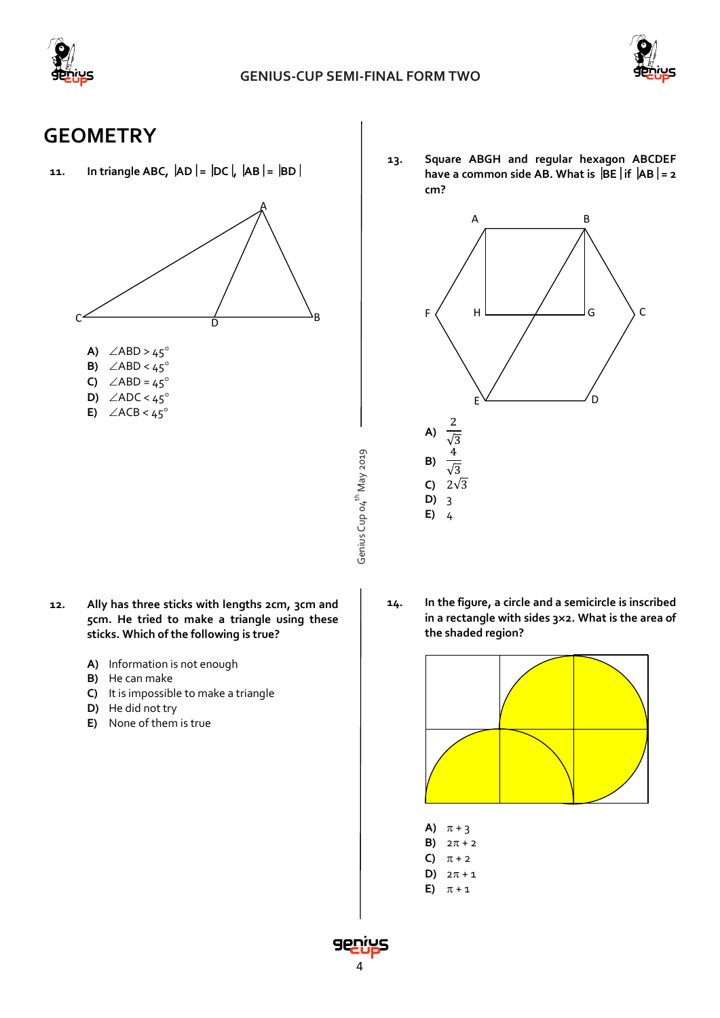



### **GEOMETRY**

**11. In triangle ABC, AD = DC, AB = BD**



- Genius Cup o4<sup>th</sup> May 2019 Genius Cup 04<sup>th</sup> May 2019
- **12. Ally has three sticks with lengths 2cm, 3cm and 5cm. He tried to make a triangle using these sticks. Which of the following is true?**
	- **A)** Information is not enough
	- **B)** He can make
	- **C)** It is impossible to make a triangle
	- **D)** He did not try
	- **E)** None of them is true

**13. Square ABGH and regular hexagon ABCDEF have a common side AB. What is**  $|BE|$  **if**  $|AB| = 2$ **cm?**



**14. In the figure, a circle and a semicircle is inscribed in a rectangle with sides 3**×**2. What is the area of the shaded region?**



- **A)**  $\pi + 3$
- **B)**  $2\pi + 2$
- **C)**  $\pi + 2$
- **D)**  $2\pi + 1$
- **E)**  $\pi + 1$

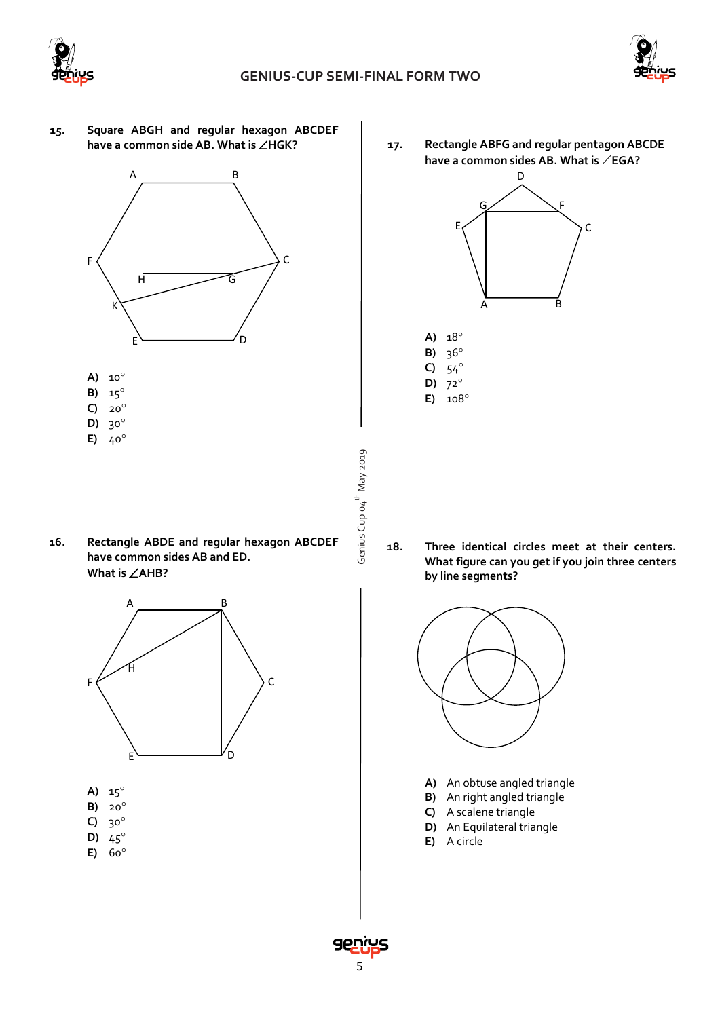

Genius Cup 04<sup>th</sup> May 2019

Genius Cup 04<sup>th</sup> May 2019



**15. Square ABGH and regular hexagon ABCDEF have a common side AB. What is** ∠**HGK?**



- **B)** 15°
- **C)** 20°
- **D)** 30°
- **E)** 40°
- **16. Rectangle ABDE and regular hexagon ABCDEF have common sides AB and ED. What is** ∠**AHB?**



- **A)** 15°
- **B)** 20°
- **C)** 30°
- **D)** 45° **E)** 60°

**17. Rectangle ABFG and regular pentagon ABCDE have a common sides AB. What is** ∠**EGA?**





**18. Three identical circles meet at their centers. What figure can you get if you join three centers by line segments?**



- **A)** An obtuse angled triangle
- **B)** An right angled triangle
- **C)** A scalene triangle
- **D)** An Equilateral triangle
- **E)** A circle

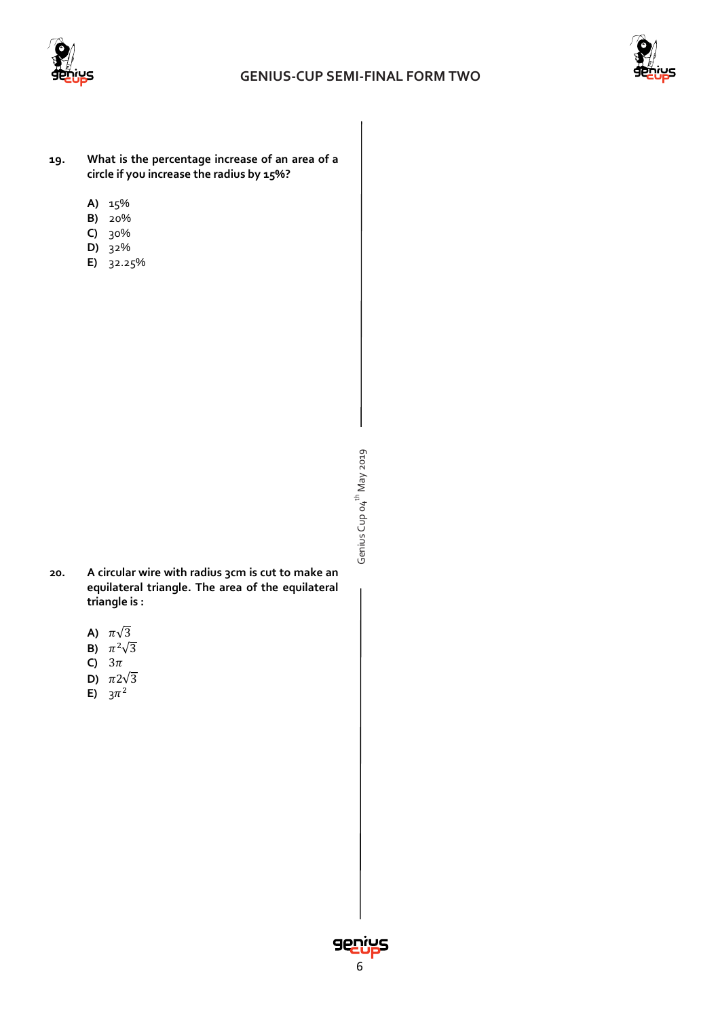



- **19. What is the percentage increase of an area of a circle if you increase the radius by 15%?**
	- **A)** 15%
	- **B)** 20%
	- **C)** 30%
	- **D)** 32%
	- **E)** 32.25%

Genius Cup o4<sup>th</sup> May 2019 Genius Cup 04<sup>th</sup> May 2019

- **20. A circular wire with radius 3cm is cut to make an equilateral triangle. The area of the equilateral triangle is :** 
	- A)  $\pi\sqrt{3}$
	- **B)**  $\pi^2\sqrt{3}$
	- C)  $3\pi$
	- **D)**  $\pi 2\sqrt{3}$
	- **E)**  $3\pi^2$

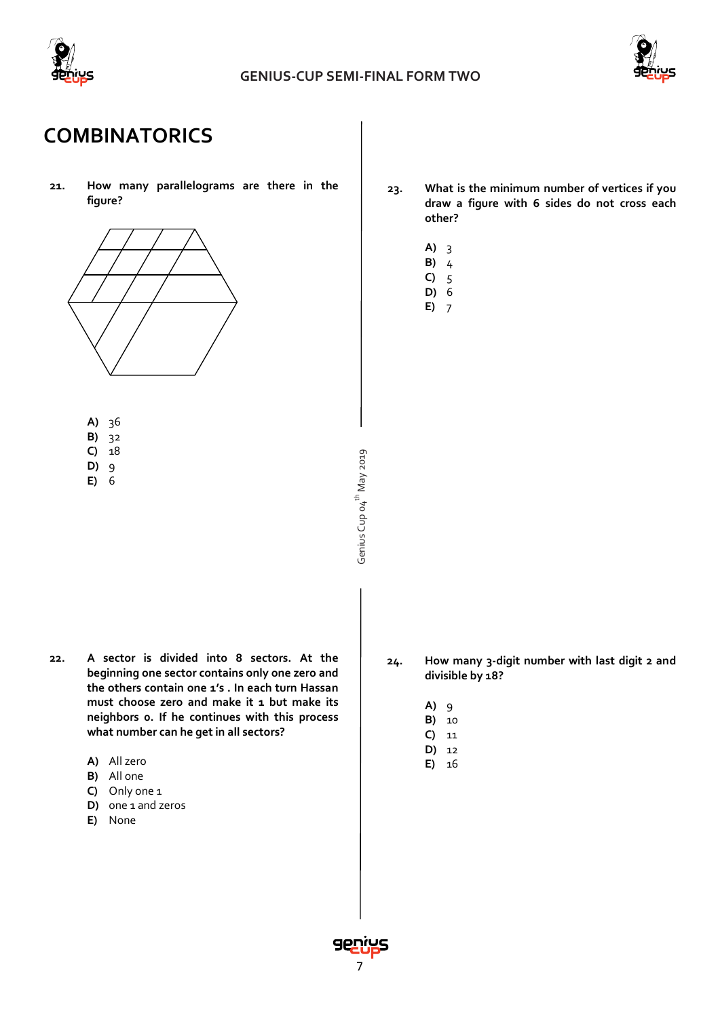



# **COMBINATORICS**

**21. How many parallelograms are there in the figure?**



- **A)** 36
- **B)** 32
- **C)** 18
- **D)** 9
- **E)** 6
- **23. What is the minimum number of vertices if you draw a figure with 6 sides do not cross each other?**
	- **A)** 3
	- **B)** 4
	- **C)** 5
	- **D)** 6
	- **E)** 7

- 
- 
- 
- 
- Genius Cup o4<sup>th</sup> May 2019 Genius Cup 04<sup>th</sup> May 2019
- **22. A sector is divided into 8 sectors. At the beginning one sector contains only one zero and the others contain one 1's . In each turn Hassan must choose zero and make it 1 but make its neighbors 0. If he continues with this process what number can he get in all sectors?**
	- **A)** All zero
	- **B)** All one
	- **C)** Only one 1
	- **D)** one 1 and zeros
	- **E)** None
- **24. How many 3-digit number with last digit 2 and divisible by 18?**
	- **A)** 9
	- **B)** 10
	- **C)** 11
	- **D)** 12 **E)** 16

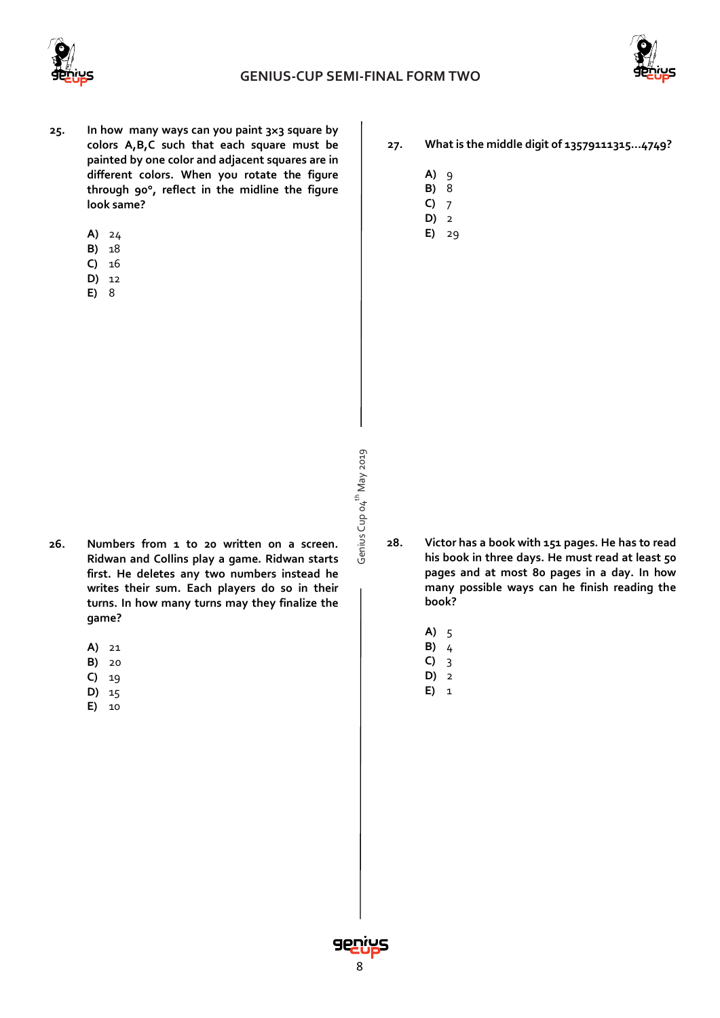



- **25. In how many ways can you paint 3**×**3 square by colors A,B,C such that each square must be painted by one color and adjacent squares are in different colors. When you rotate the figure through 90**°**, reflect in the midline the figure look same?**
	- **A)** 24
	- **B)** 18
	- **C)** 16
	- **D)** 12
	- **E)** 8
- **A)** 9
- **B)** 8
- **C)** 7 **D)** 2
- **E)** 29

- Genius Cup o4<sup>th</sup> May 2019 Genius Cup 04<sup>th</sup> May 2019
- **28. Victor has a book with 151 pages. He has to read his book in three days. He must read at least 50 pages and at most 80 pages in a day. In how many possible ways can he finish reading the book?**
	- **A)** 5
	- **B)** 4 **C)** 3

**D)** 2

- **E)** 1
- **26. Numbers from 1 to 20 written on a screen. Ridwan and Collins play a game. Ridwan starts first. He deletes any two numbers instead he writes their sum. Each players do so in their turns. In how many turns may they finalize the game?**
	- **A)** 21
	- **B)** 20
	- **C)** 19
	- **D)** 15
	- **E)** 10

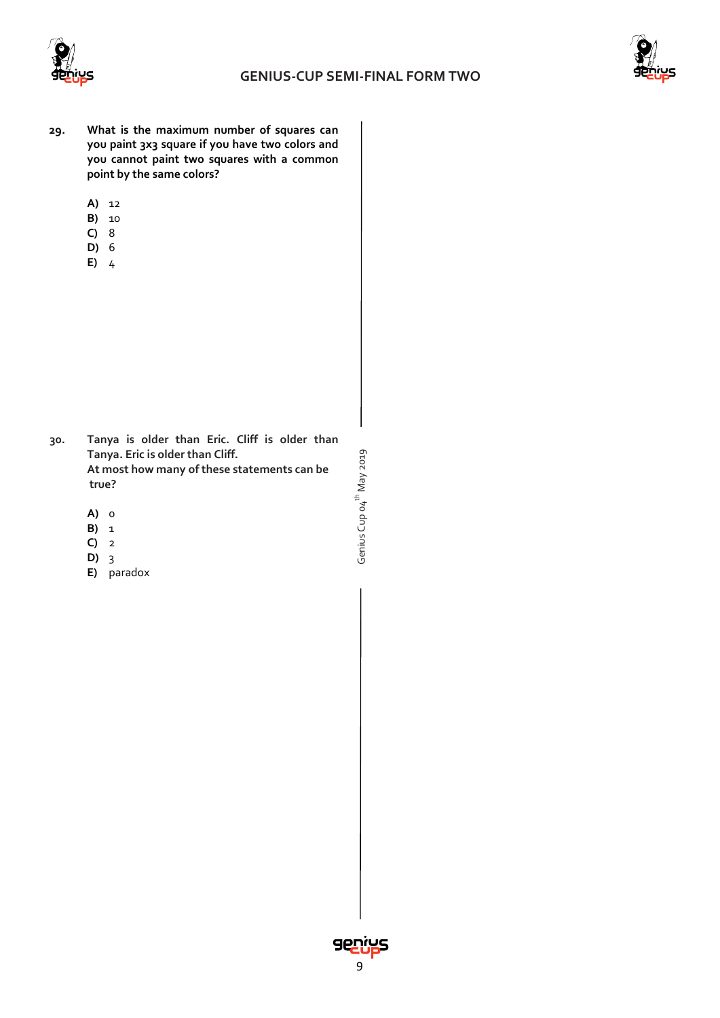

Genius Cup 04<sup>th</sup> May 2019

Genius Cup o4<sup>th</sup> May 2019



- **29. What is the maximum number of squares can you paint 3x3 square if you have two colors and you cannot paint two squares with a common point by the same colors?**
	- **A)** 12
	- **B)** 10
	- **C)** 8
	- **D)** 6
	- **E)** 4

- **30. Tanya is older than Eric. Cliff is older than Tanya. Eric is older than Cliff. At most how many of these statements can be true?**
	- **A)** 0
	- **B)** 1
	- **C)** 2
	- **D)** 3
	- **E)** paradox

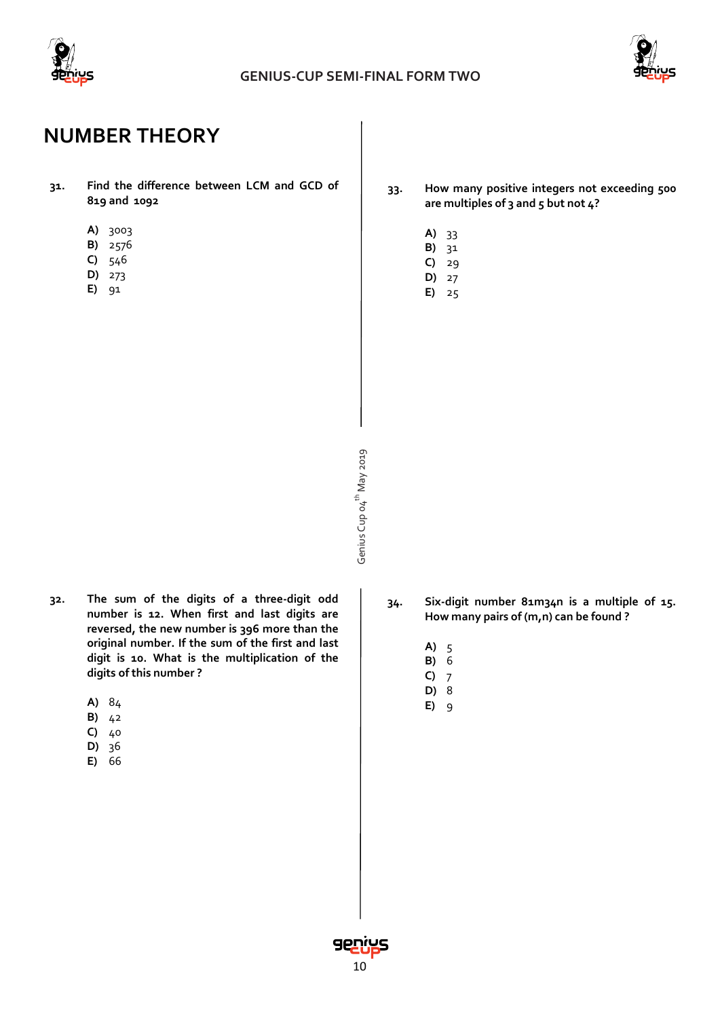



## **NUMBER THEORY**

- **31. Find the difference between LCM and GCD of 819 and 1092**
	- **A)** 3003
	- **B)** 2576
	- **C)** 546
	- **D)** 273
	- **E)** 91

**33. How many positive integers not exceeding 500 are multiples of 3 and 5 but not 4?** 

- **A)** 33
- **B)** 31
- **C)** 29
- **D)** 27 **E)** 25

- Genius Cup o4<sup>th</sup> May 2019 Genius Cup 04<sup>th</sup> May 2019
- **32. The sum of the digits of a three-digit odd number is 12. When first and last digits are reversed, the new number is 396 more than the original number. If the sum of the first and last digit is 10. What is the multiplication of the digits of this number ?**
	- **A)** 84
	- **B)** 42
	- **C)** 40
	- **D)** 36
	- **E)** 66
- **34. Six-digit number 81m34n is a multiple of 15. How many pairs of (m,n) can be found ?**
	- **A)** 5
	- **B)** 6 **C)** 7
	- **D)** 8
	- **E)** 9

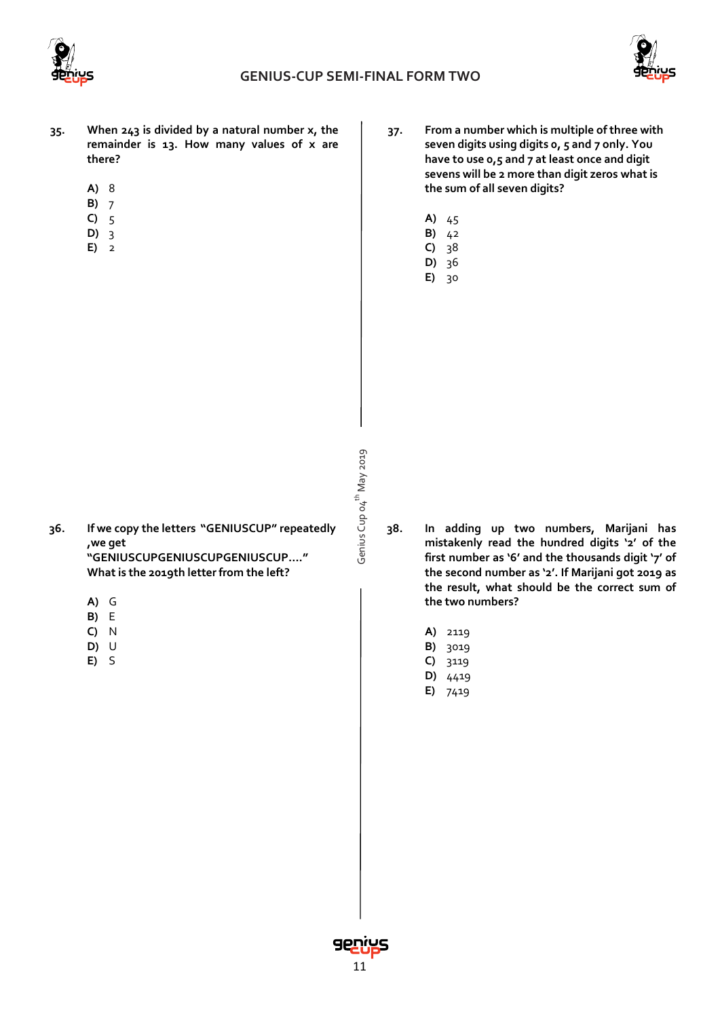



- **35. When 243 is divided by a natural number x, the remainder is 13. How many values of x are there?**
	- **A)** 8
	- **B)** 7
	- **C)** 5
	- **D)** 3
	- **E)** 2
- **37. From a number which is multiple of three with seven digits using digits 0, 5 and 7 only. You have to use 0,5 and 7 at least once and digit sevens will be 2 more than digit zeros what is the sum of all seven digits?**
	- **A)** 45
	- **B)** 42
	- **C)** 38 **D)** 36
	- **E)** 30

- Genius Cup o4<sup>th</sup> May 2019 Genius Cup 04<sup>th</sup> May 2019
- **36. If we copy the letters "GENIUSCUP" repeatedly ,we get "GENIUSCUPGENIUSCUPGENIUSCUP…."**

**What is the 2019th letter from the left?**

- **A)** G
- **B)** E
- **C)** N
- **D)** U
- **E)** S
- **38. In adding up two numbers, Marijani has mistakenly read the hundred digits '2' of the first number as '6' and the thousands digit '7' of the second number as '2'. If Marijani got 2019 as the result, what should be the correct sum of the two numbers?**
	- **A)** 2119
	- **B)** 3019
	- **C)** 3119
	- **D)** 4419
	- **E)** 7419

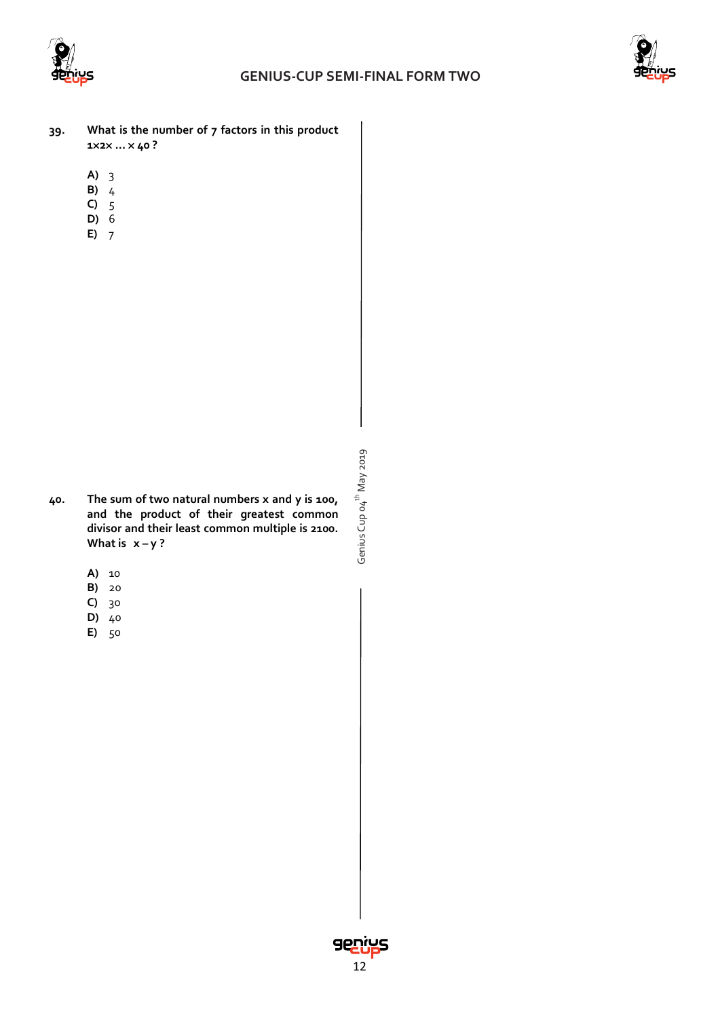



- **39. What is the number of 7 factors in this product 1**×**2**× **…** × **40 ?**
	- **A)** 3
	- **B)** 4
	- **C)** 5 **D)** 6
	- **E)** 7

- **40. The sum of two natural numbers x and y is 100, and the product of their greatest common divisor and their least common multiple is 2100.**  What is  $x - y$ ?
	- **A)** 10
	- **B)** 20
	- **C)** 30
	- **D)** 40
	- **E)** 50

Genius Cup o4<sup>th</sup> May 2019 Genius Cup 04<sup>th</sup> May 2019

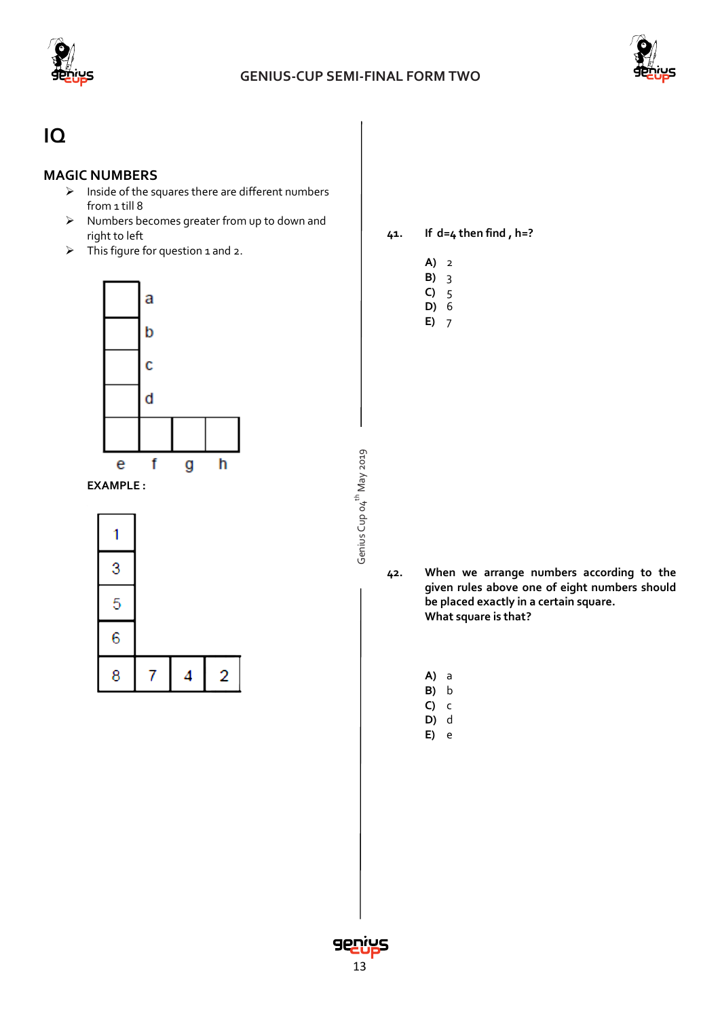

Genius Cup 04<sup>th</sup> May 2019

Genius Cup o4<sup>th</sup> May 2019



## **IQ**

### **MAGIC NUMBERS**

- $\triangleright$  Inside of the squares there are different numbers from 1 till 8
- $\triangleright$  Numbers becomes greater from up to down and right to left
- $\triangleright$  This figure for question 1 and 2.



**EXAMPLE :**

| 3 |   |   |
|---|---|---|
| 5 |   |   |
| 6 |   |   |
| 8 | 4 | 2 |

**41. If d=4 then find , h=?**

|--|--|

**B)** 3

**C)** 5 **D)** 6

**E)** 7

**42. When we arrange numbers according to the given rules above one of eight numbers should be placed exactly in a certain square. What square is that?**

**A)** a

**B)** b **C)** c

**D)** d

**E)** e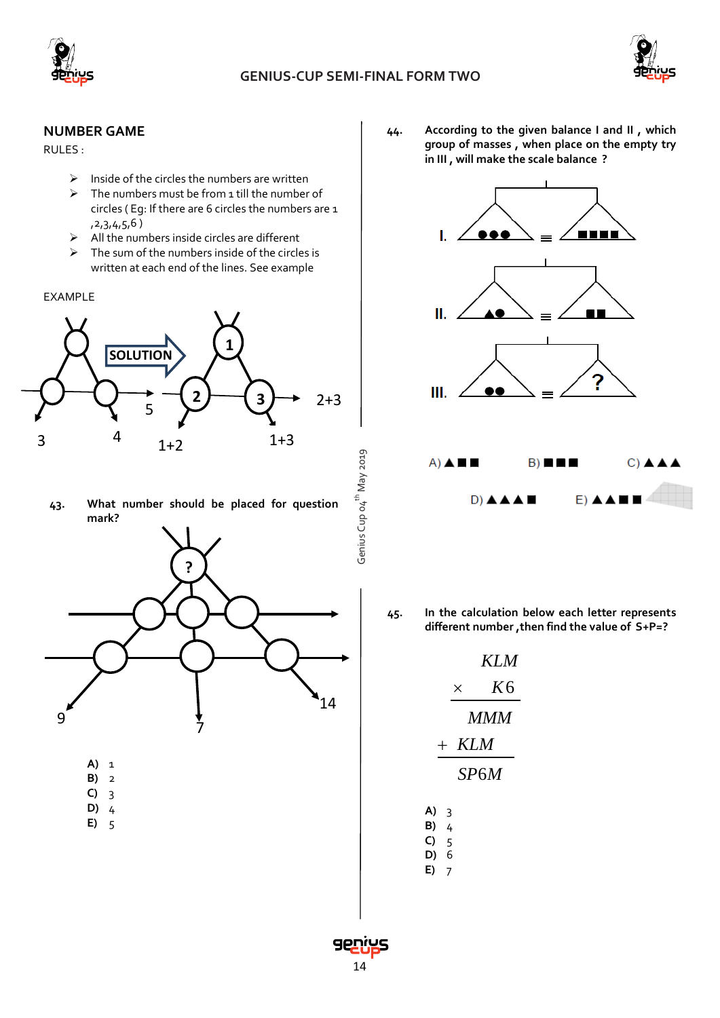



#### **NUMBER GAME**

RULES :

- $\triangleright$  Inside of the circles the numbers are written
- $\triangleright$  The numbers must be from 1 till the number of circles ( Eg: If there are 6 circles the numbers are 1 ,2,3,4,5,6 )
- $\triangleright$  All the numbers inside circles are different
- $\triangleright$  The sum of the numbers inside of the circles is written at each end of the lines. See example
- EXAMPLE



**43. What number should be placed for question mark?**



- **A)** 1 **B)** 2
- **C)** 3
- **D)** 4
- **E)** 5

**44. According to the given balance I and II , which group of masses , when place on the empty try in III , will make the scale balance ?**



**45. In the calculation below each letter represents different number ,then find the value of S+P=?**

|         | <b>KLM</b>     |
|---------|----------------|
| ×       | K <sub>6</sub> |
|         | MMM            |
| $+ KLM$ |                |
|         | SP6M           |
|         |                |

| A) | 3 |
|----|---|
| B) | 4 |
| C) | 5 |

**D)** 6 **E)** 7